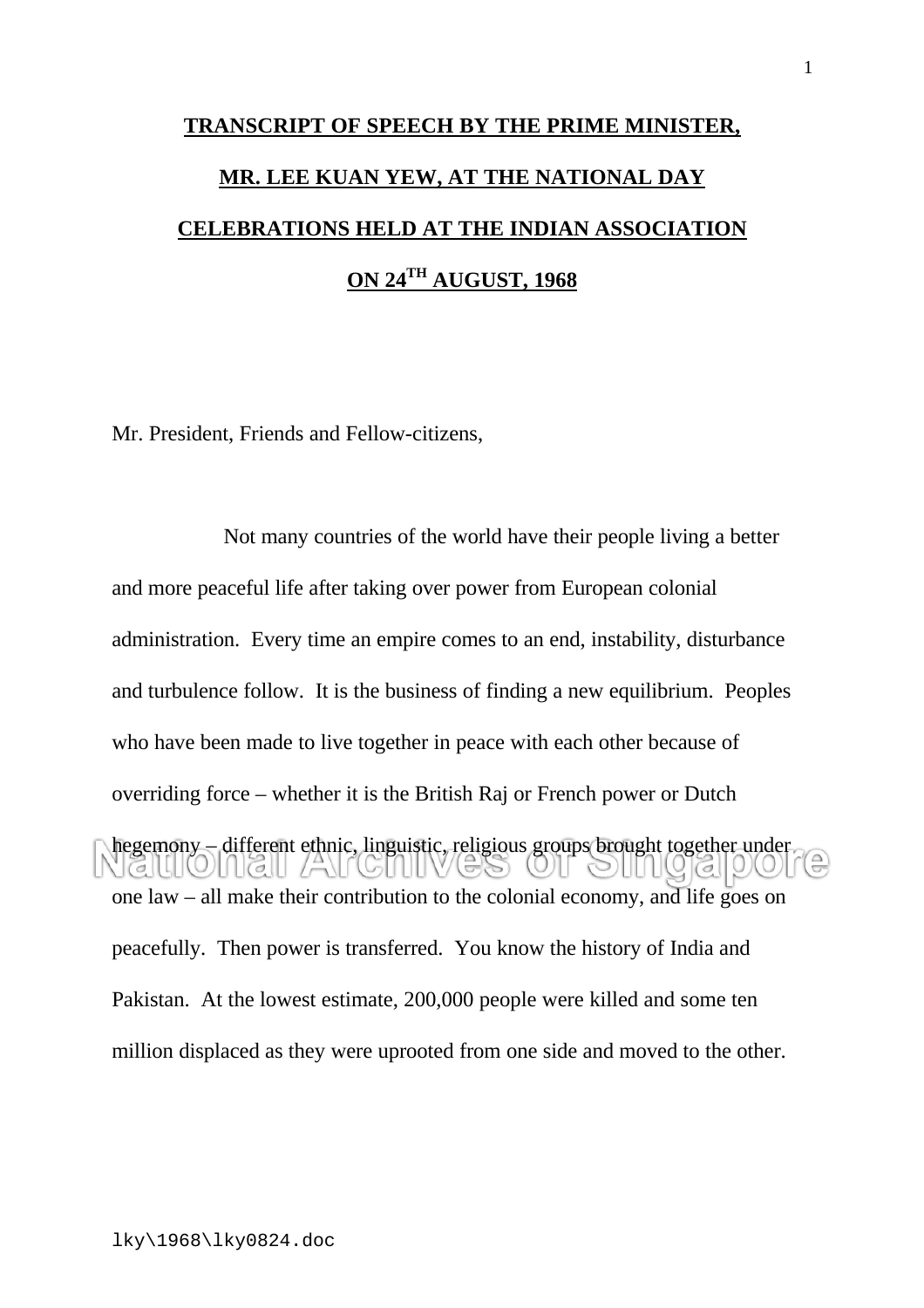## **TRANSCRIPT OF SPEECH BY THE PRIME MINISTER, MR. LEE KUAN YEW, AT THE NATIONAL DAY CELEBRATIONS HELD AT THE INDIAN ASSOCIATION ON 24TH AUGUST, 1968**

Mr. President, Friends and Fellow-citizens,

Not many countries of the world have their people living a better and more peaceful life after taking over power from European colonial administration. Every time an empire comes to an end, instability, disturbance and turbulence follow. It is the business of finding a new equilibrium. Peoples who have been made to live together in peace with each other because of overriding force – whether it is the British Raj or French power or Dutch hegemony – different ethnic, linguistic, religious groups brought together under  $\cup$   $\sigma$   $\Box$ one law – all make their contribution to the colonial economy, and life goes on peacefully. Then power is transferred. You know the history of India and Pakistan. At the lowest estimate, 200,000 people were killed and some ten million displaced as they were uprooted from one side and moved to the other.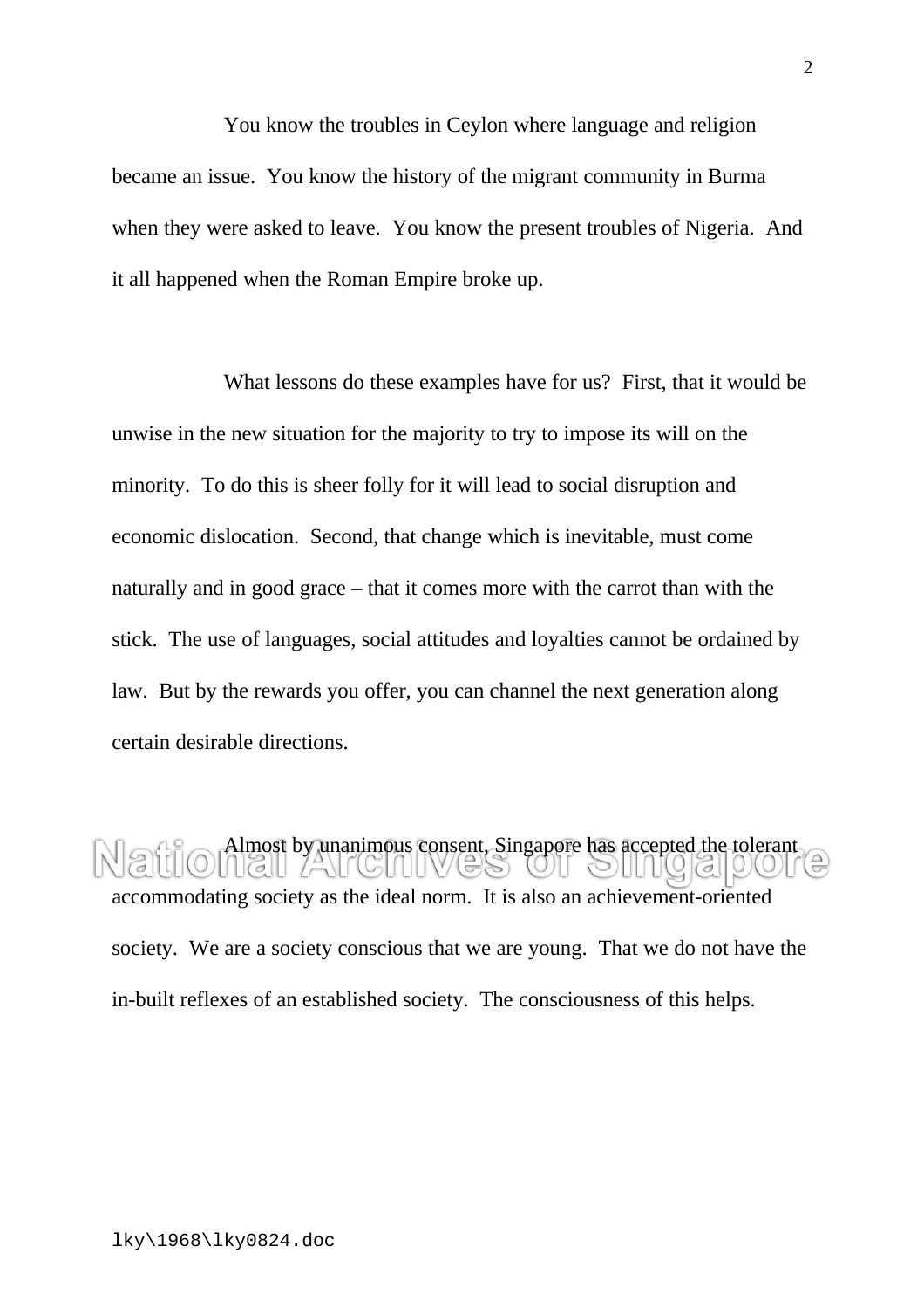You know the troubles in Ceylon where language and religion became an issue. You know the history of the migrant community in Burma when they were asked to leave. You know the present troubles of Nigeria. And it all happened when the Roman Empire broke up.

What lessons do these examples have for us? First, that it would be unwise in the new situation for the majority to try to impose its will on the minority. To do this is sheer folly for it will lead to social disruption and economic dislocation. Second, that change which is inevitable, must come naturally and in good grace – that it comes more with the carrot than with the stick. The use of languages, social attitudes and loyalties cannot be ordained by law. But by the rewards you offer, you can channel the next generation along certain desirable directions.

Almost by unanimous consent, Singapore has accepted the tolerant accommodating society as the ideal norm. It is also an achievement-oriented society. We are a society conscious that we are young. That we do not have the in-built reflexes of an established society. The consciousness of this helps.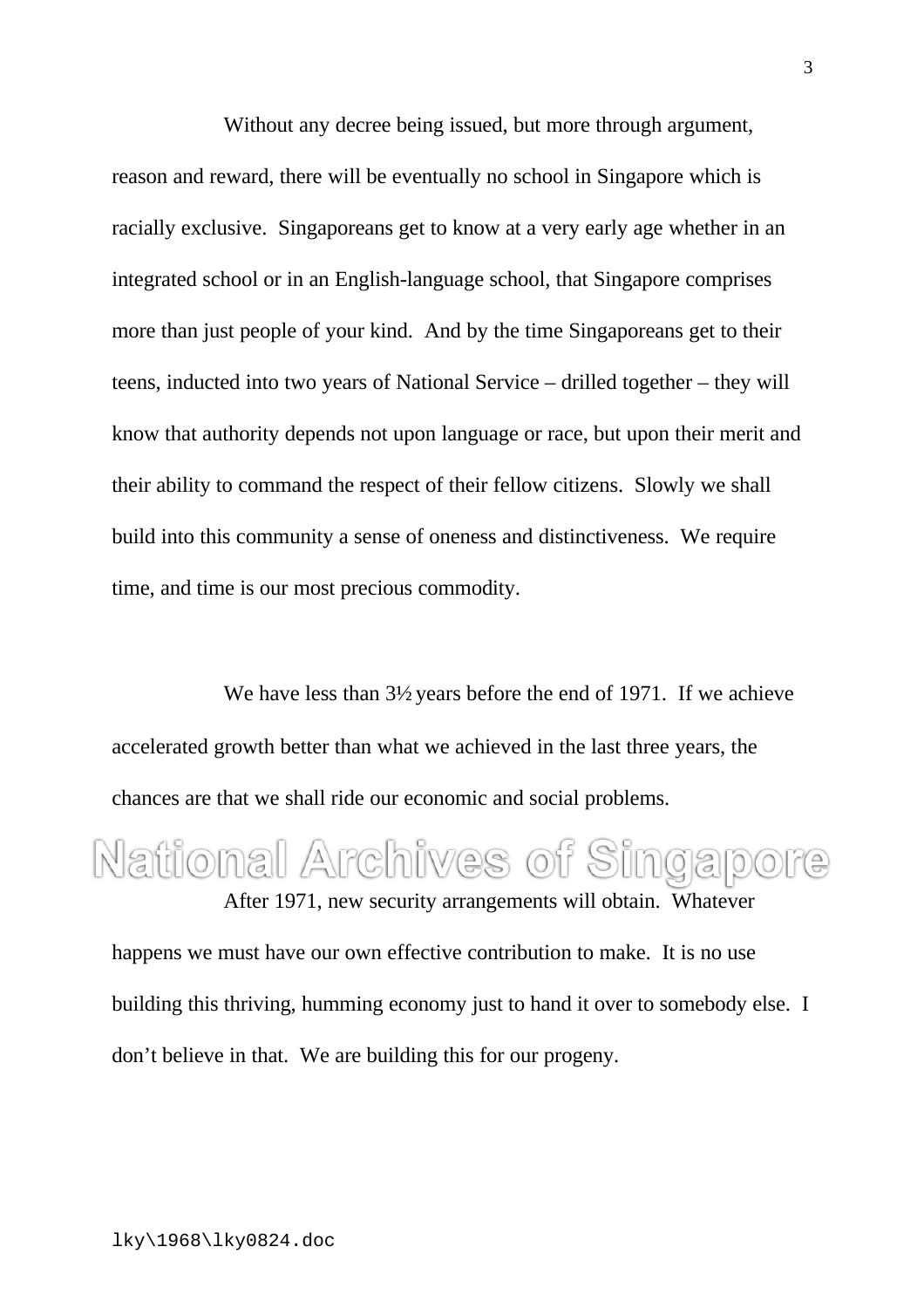Without any decree being issued, but more through argument, reason and reward, there will be eventually no school in Singapore which is racially exclusive. Singaporeans get to know at a very early age whether in an integrated school or in an English-language school, that Singapore comprises more than just people of your kind. And by the time Singaporeans get to their teens, inducted into two years of National Service – drilled together – they will know that authority depends not upon language or race, but upon their merit and their ability to command the respect of their fellow citizens. Slowly we shall build into this community a sense of oneness and distinctiveness. We require time, and time is our most precious commodity.

We have less than  $3\frac{1}{2}$  years before the end of 1971. If we achieve accelerated growth better than what we achieved in the last three years, the chances are that we shall ride our economic and social problems.

## National Archives of Singapore

After 1971, new security arrangements will obtain. Whatever happens we must have our own effective contribution to make. It is no use building this thriving, humming economy just to hand it over to somebody else. I don't believe in that. We are building this for our progeny.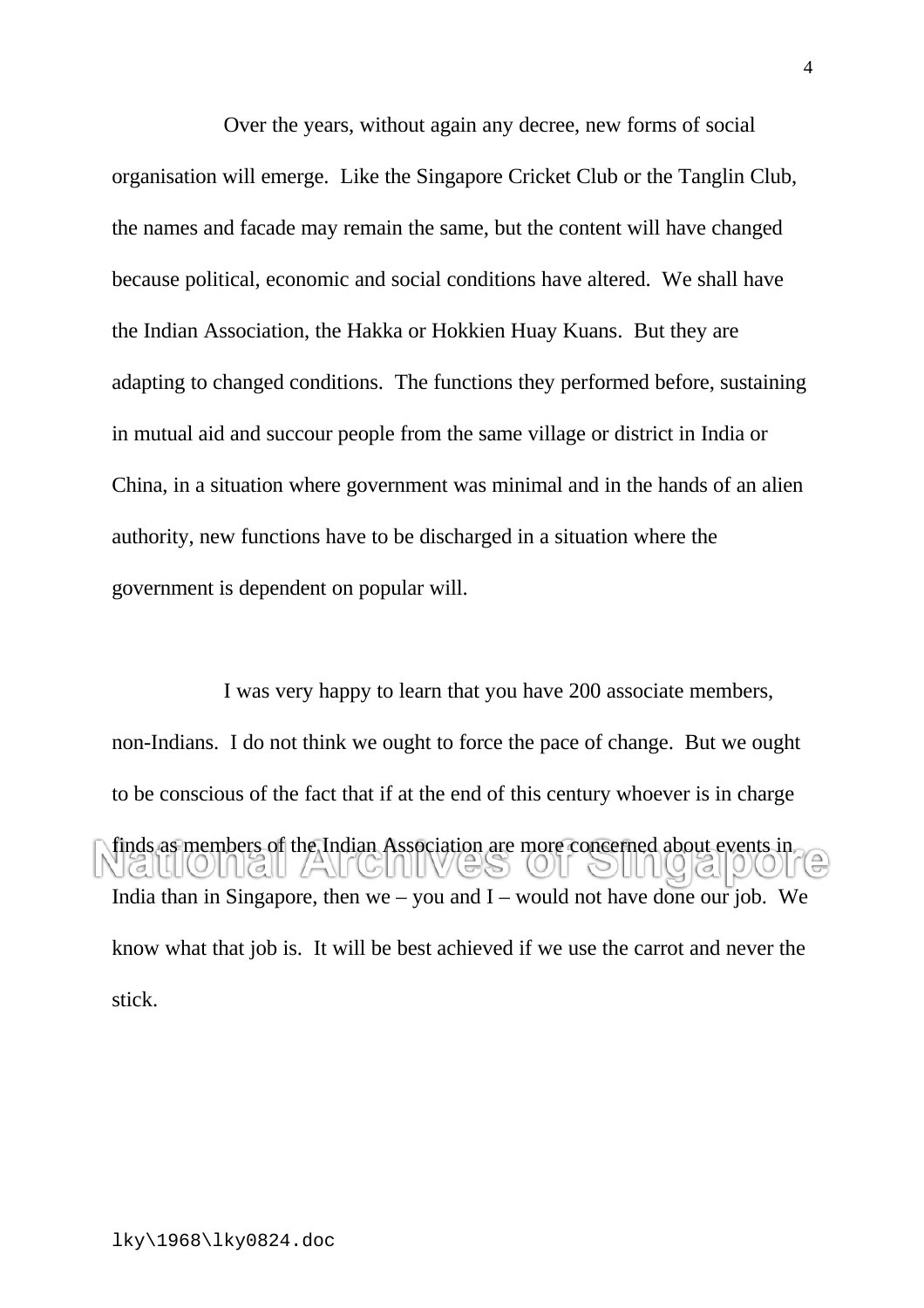Over the years, without again any decree, new forms of social organisation will emerge. Like the Singapore Cricket Club or the Tanglin Club, the names and facade may remain the same, but the content will have changed because political, economic and social conditions have altered. We shall have the Indian Association, the Hakka or Hokkien Huay Kuans. But they are adapting to changed conditions. The functions they performed before, sustaining in mutual aid and succour people from the same village or district in India or China, in a situation where government was minimal and in the hands of an alien authority, new functions have to be discharged in a situation where the government is dependent on popular will.

I was very happy to learn that you have 200 associate members, non-Indians. I do not think we ought to force the pace of change. But we ought to be conscious of the fact that if at the end of this century whoever is in charge finds as members of the Indian Association are more concerned about events in  $\left| \left| \left( 0 \right) \right| \right|$  (6  $\left| \left| \left( 1 \right) \right| \right|$  )  $\left| \left( 0 \right) \right|$ India than in Singapore, then  $we - you$  and I – would not have done our job. We know what that job is. It will be best achieved if we use the carrot and never the stick.